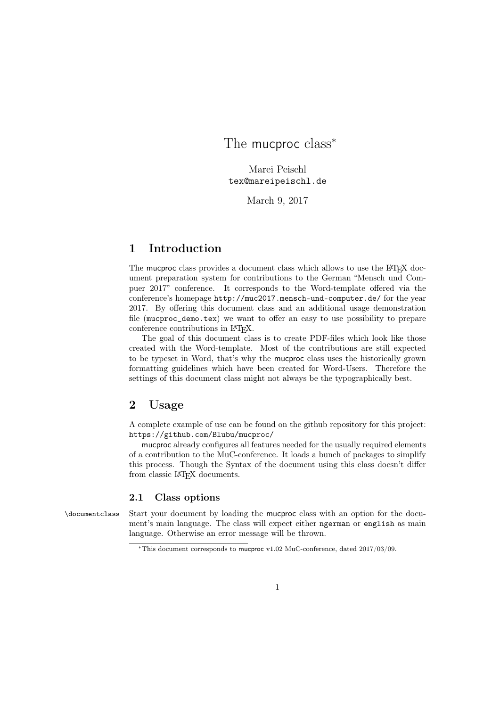# The mucproc class<sup>\*</sup>

Marei Peischl tex@mareipeischl.de

March 9, 2017

## 1 Introduction

The mucproc class provides a document class which allows to use the LAT<sub>EX</sub> document preparation system for contributions to the German "Mensch und Compuer 2017" conference. It corresponds to the Word-template offered via the conference's homepage http://muc2017.mensch-und-computer.de/ for the year 2017. By offering this document class and an additional usage demonstration file (mucproc\_demo.tex) we want to offer an easy to use possibility to prepare conference contributions in IATFX.

The goal of this document class is to create PDF-files which look like those created with the Word-template. Most of the contributions are still expected to be typeset in Word, that's why the mucproc class uses the historically grown formatting guidelines which have been created for Word-Users. Therefore the settings of this document class might not always be the typographically best.

## 2 Usage

A complete example of use can be found on the github repository for this project: https://github.com/Blubu/mucproc/

mucproc already configures all features needed for the usually required elements of a contribution to the MuC-conference. It loads a bunch of packages to simplify this process. Though the Syntax of the document using this class doesn't differ from classic L<sup>A</sup>T<sub>F</sub>X documents.

### 2.1 Class options

\documentclass Start your document by loading the mucproc class with an option for the document's main language. The class will expect either ngerman or english as main language. Otherwise an error message will be thrown.

<sup>∗</sup>This document corresponds to mucproc v1.02 MuC-conference, dated 2017/03/09.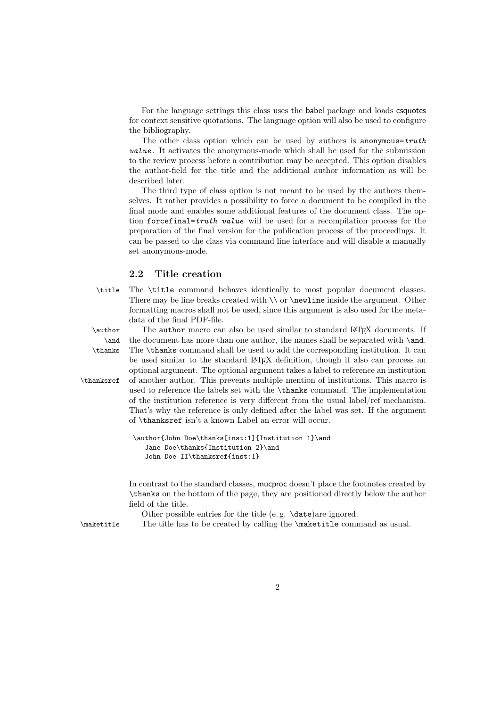For the language settings this class uses the babel package and loads csquotes for context sensitive quotations. The language option will also be used to configure the bibliography.

The other class option which can be used by authors is anonymous= $truth$ value . It activates the anonymous-mode which shall be used for the submission to the review process before a contribution may be accepted. This option disables the author-field for the title and the additional author information as will be described later.

The third type of class option is not meant to be used by the authors themselves. It rather provides a possibility to force a document to be compiled in the final mode and enables some additional features of the document class. The option forcefinal=truth value will be used for a recompilation process for the preparation of the final version for the publication process of the proceedings. It can be passed to the class via command line interface and will disable a manually set anonymous-mode.

### 2.2 Title creation

\title The \title command behaves identically to most popular document classes. There may be line breaks created with \\ or \newline inside the argument. Other formatting macros shall not be used, since this argument is also used for the metadata of the final PDF-file.

\author The author macro can also be used similar to standard LAT<sub>EX</sub> documents. If \and the document has more than one author, the names shall be separated with \and. \thanks The \thanks command shall be used to add the corresponding institution. It can be used similar to the standard LATEX definition, though it also can process an optional argument. The optional argument takes a label to reference an institution \thanksref of another author. This prevents multiple mention of institutions. This macro is used to reference the labels set with the \thanks command. The implementation of the institution reference is very different from the usual label/ref mechanism. That's why the reference is only defined after the label was set. If the argument of \thanksref isn't a known Label an error will occur.

```
\author{John Doe\thanks[inst:1]{Institution 1}\and
  Jane Doe\thanks{Institution 2}\and
  John Doe II\thanksref{inst:1}
```
In contrast to the standard classes, mucproc doesn't place the footnotes created by \thanks on the bottom of the page, they are positioned directly below the author field of the title.

Other possible entries for the title (e. g. \date)are ignored.

\maketitle The title has to be created by calling the \maketitle command as usual.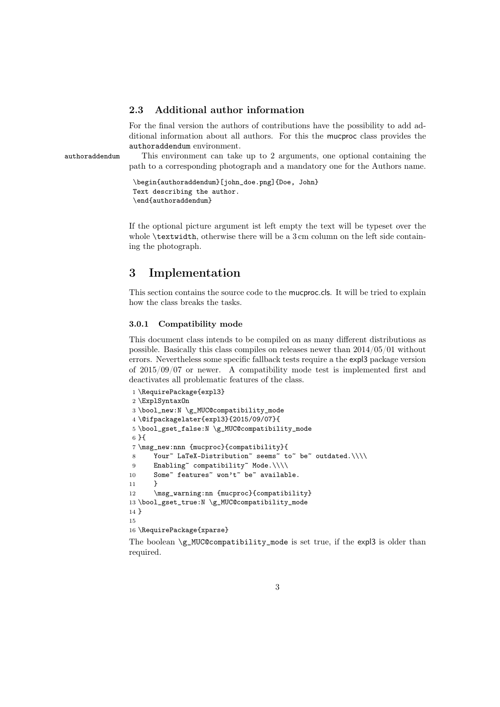### 2.3 Additional author information

For the final version the authors of contributions have the possibility to add additional information about all authors. For this the mucproc class provides the authoraddendum environment.

authoraddendum This environment can take up to 2 arguments, one optional containing the path to a corresponding photograph and a mandatory one for the Authors name.

> \begin{authoraddendum}[john\_doe.png]{Doe, John} Text describing the author. \end{authoraddendum}

If the optional picture argument ist left empty the text will be typeset over the whole **\textwidth**, otherwise there will be a 3 cm column on the left side containing the photograph.

## 3 Implementation

This section contains the source code to the mucproc.cls. It will be tried to explain how the class breaks the tasks.

#### 3.0.1 Compatibility mode

This document class intends to be compiled on as many different distributions as possible. Basically this class compiles on releases newer than 2014/05/01 without errors. Nevertheless some specific fallback tests require a the expl3 package version of 2015/09/07 or newer. A compatibility mode test is implemented first and deactivates all problematic features of the class.

```
1 \RequirePackage{expl3}
2 \ExplSyntaxOn
3 \bool new:N \g MUC@compatibility mode
4 \@ifpackagelater{expl3}{2015/09/07}{
5 \bool_gset_false:N \g_MUC@compatibility_mode
6 }{
7 \msg_new:nnn {mucproc}{compatibility}{
8 Your~ LaTeX-Distribution~ seems~ to~ be~ outdated.\\\\
9 Enabling~ compatibility~ Mode.\\\\
10 Some~ features~ won't~ be~ available.
11 \t}12 \msg_warning:nn {mucproc}{compatibility}
13 \bool_gset_true:N \g_MUC@compatibility_mode
14 }
15
16 \RequirePackage{xparse}
```
The boolean \g\_MUC@compatibility\_mode is set true, if the expl3 is older than required.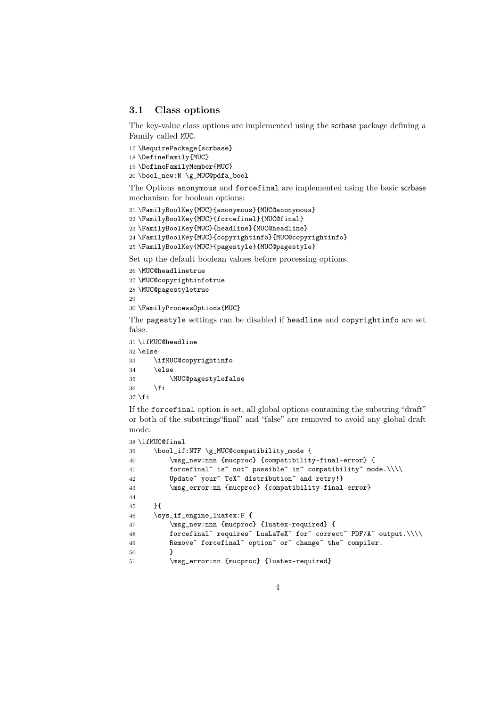#### 3.1 Class options

The key-value class options are implemented using the scrbase package defining a Family called MUC.

```
17 \RequirePackage{scrbase}
18 \DefineFamily{MUC}
19 \DefineFamilyMember{MUC}
20 \bool_new:N \g_MUC@pdfa_bool
```
The Options anonymous and forcefinal are implemented using the basic scrbase mechanism for boolean options:

\FamilyBoolKey{MUC}{anonymous}{MUC@anonymous}

```
22 \FamilyBoolKey{MUC}{forcefinal}{MUC@final}
```
\FamilyBoolKey{MUC}{headline}{MUC@headline}

```
24 \FamilyBoolKey{MUC}{copyrightinfo}{MUC@copyrightinfo}
```

```
25 \FamilyBoolKey{MUC}{pagestyle}{MUC@pagestyle}
```
Set up the default boolean values before processing options.

```
26 \MUC@headlinetrue
```

```
27 \MUC@copyrightinfotrue
```

```
28 \MUC@pagestyletrue
29
```

```
30 \FamilyProcessOptions{MUC}
```
The pagestyle settings can be disabled if headline and copyrightinfo are set false.

```
31 \ifMUC@headline
32 \else
33 \ifMUC@copyrightinfo
34 \else
35 \MUC@pagestylefalse
36 \fi
37 \fi
```
If the forcefinal option is set, all global options containing the substring "draft" or both of the substrings"final" and "false" are removed to avoid any global draft mode.

```
38 \ifMUC@final
39 \bool_if:NTF \g_MUC@compatibility_mode {
40 \msg_new:nnn {mucproc} {compatibility-final-error} {
41 forcefinal~ is~ not~ possible~ in~ compatibility~ mode.\\\\
42 Update<sup>~</sup> your<sup>~</sup> TeX<sup>~</sup> distribution<sup>~</sup> and retry!}
43 \msg_error:nn {mucproc} {compatibility-final-error}
44
45 }{
46 \sys_if_engine_luatex:F {
47 \msg_new:nnn {mucproc} {luatex-required} {
48 forcefinal~ requires~ LuaLaTeX~ for<br/>~ correct~ PDF/A~ output.\\\\
49 Remove~ forcefinal~ option~ or~ change~ the~ compiler.
50 }
51 \msg_error:nn {mucproc} {luatex-required}
```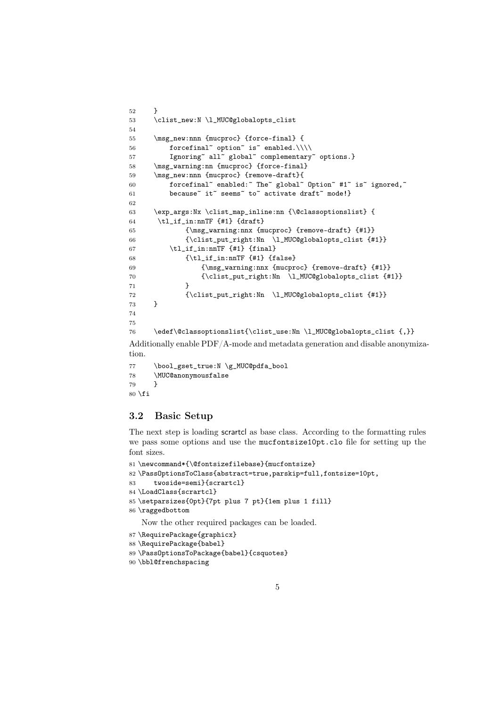```
52 }
53 \clist_new:N \l_MUC@globalopts_clist
54
55 \msg_new:nnn {mucproc} {force-final} {
56 forcefinal<sup>~</sup> option<sup>~</sup> is<sup>~</sup> enabled.\\\\
57 Ignoring~ all~ global~ complementary~ options.}
58 \msg_warning:nn {mucproc} {force-final}
59 \msg_new:nnn {mucproc} {remove-draft}{
60 forcefinal~ enabled:~ The~ global~ Option~ #1~ is~ ignored,~
61 because~ it~ seems~ to~ activate draft~ mode!}
62
63 \exp_args:Nx \clist_map_inline:nn {\@classoptionslist} {
64 \tl_if_in:nnTF {#1} {draff}65 {\msg_warning:nnx {mucproc} {remove-draft} {#1}}
66 {\clist_put_right:Nn \l_MUC@globalopts_clist {#1}}
67 \tilde{\text{t1}}_in: mTF \{ \#1 \} \{ \text{final} \}68 {\tilde{\tilde{f}}_in: nnTF {\#1}} {\false}69 {\msg_warning:nnx {mucproc} {remove-draft} {#1}}
70 {\clist_put_right:Nn \l_MUC@globalopts_clist {#1}}
71 }
72 {\clist_put_right:Nn \l_MUC@globalopts_clist {#1}}
73 }
74
75
76 \edef\@classoptionslist{\clist_use:Nn \l_MUC@globalopts_clist {,}}
Additionally enable PDF/A-mode and metadata generation and disable anonymiza-
tion.
```

```
77 \bool_gset_true:N \g_MUC@pdfa_bool
78 \MUC@anonymousfalse
79 }
80 \setminus fi
```
### 3.2 Basic Setup

The next step is loading scrartcl as base class. According to the formatting rules we pass some options and use the mucfontsize10pt.clo file for setting up the font sizes.

```
81 \newcommand*{\@fontsizefilebase}{mucfontsize}
82 \PassOptionsToClass{abstract=true,parskip=full,fontsize=10pt,
83 twoside=semi}{scrartcl}
84 \LoadClass{scrartcl}
85 \setparsizes{0pt}{7pt plus 7 pt}{1em plus 1 fill}
86 \raggedbottom
   Now the other required packages can be loaded.
87 \RequirePackage{graphicx}
88 \RequirePackage{babel}
```

```
89 \PassOptionsToPackage{babel}{csquotes}
```

```
90 \bbl@frenchspacing
```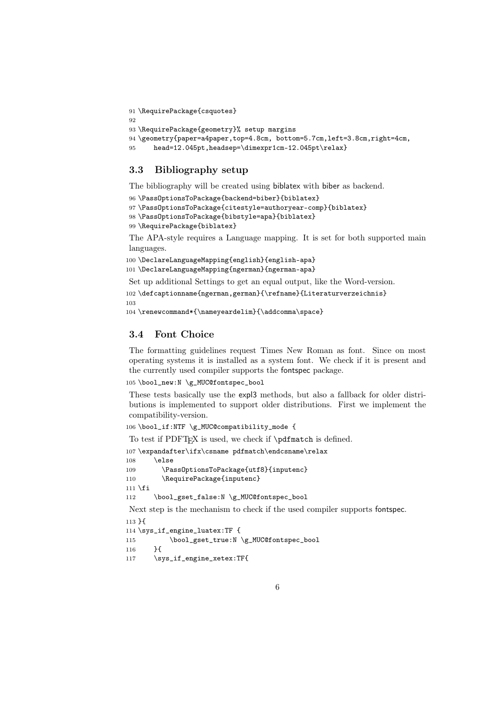```
91 \RequirePackage{csquotes}
92
93 \RequirePackage{geometry}% setup margins
94 \geometry{paper=a4paper,top=4.8cm, bottom=5.7cm,left=3.8cm,right=4cm,
95 head=12.045pt,headsep=\dimexpr1cm-12.045pt\relax}
```
### 3.3 Bibliography setup

The bibliography will be created using biblatex with biber as backend.

```
96 \PassOptionsToPackage{backend=biber}{biblatex}
97 \PassOptionsToPackage{citestyle=authoryear-comp}{biblatex}
98 \PassOptionsToPackage{bibstyle=apa}{biblatex}
99 \RequirePackage{biblatex}
```
The APA-style requires a Language mapping. It is set for both supported main languages.

100 \DeclareLanguageMapping{english}{english-apa}

```
101 \DeclareLanguageMapping{ngerman}{ngerman-apa}
```
Set up additional Settings to get an equal output, like the Word-version.

102 \defcaptionname{ngerman,german}{\refname}{Literaturverzeichnis} 103

```
104 \renewcommand*{\nameyeardelim}{\addcomma\space}
```
### 3.4 Font Choice

The formatting guidelines request Times New Roman as font. Since on most operating systems it is installed as a system font. We check if it is present and the currently used compiler supports the fontspec package.

105 \bool\_new:N \g\_MUC@fontspec\_bool

These tests basically use the expl3 methods, but also a fallback for older distributions is implemented to support older distributions. First we implement the compatibility-version.

106 \bool\_if:NTF \g\_MUC@compatibility\_mode {

```
To test if PDFTEX is used, we check if \pdfmatch is defined.
107 \expandafter\ifx\csname pdfmatch\endcsname\relax
108 \else
109 \PassOptionsToPackage{utf8}{inputenc}
110 \RequirePackage{inputenc}
111 \fi
112 \bool_gset_false:N \g_MUC@fontspec_bool
Next step is the mechanism to check if the used compiler supports fontspec.
113 }{
114 \sys_if_engine_luatex:TF {
115 \bool_gset_true:N \g_MUC@fontspec_bool
116 }{
117 \sys_if_engine_xetex:TF{
```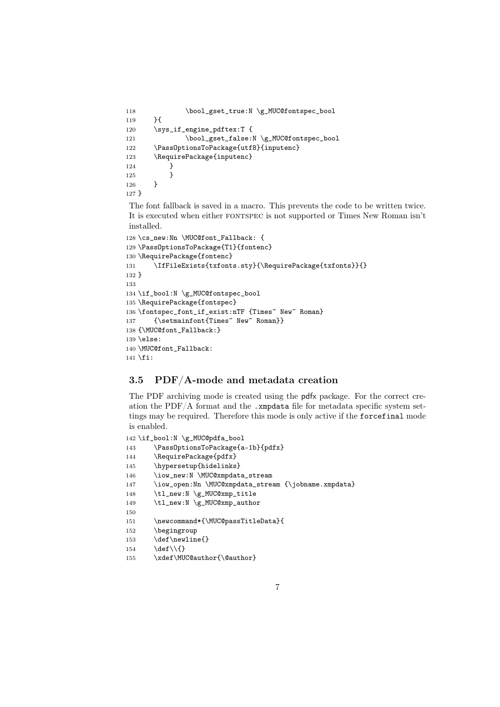```
118 \bool_gset_true:N \g_MUC@fontspec_bool
119 }{
120 \sys_if_engine_pdftex:T {
121 \bool_gset_false:N \g_MUC@fontspec_bool
122 \PassOptionsToPackage{utf8}{inputenc}
123 \RequirePackage{inputenc}
124 }
125 }
126 }
127 }
```
The font fallback is saved in a macro. This prevents the code to be written twice. It is executed when either fontspec is not supported or Times New Roman isn't installed.

```
128 \cs_new:Nn \MUC@font_Fallback: {
129 \PassOptionsToPackage{T1}{fontenc}
130 \RequirePackage{fontenc}
131 \IfFileExists{txfonts.sty}{\RequirePackage{txfonts}}{}
132 }
133
134 \if_bool:N \g_MUC@fontspec_bool
135 \RequirePackage{fontspec}
136 \fontspec_font_if_exist:nTF {Times~ New~ Roman}
137 {\setmainfont{Times~ New~ Roman}}
138 {\MUC@font_Fallback:}
139 \else:
140 \MUC@font_Fallback:
141 \fi:
```
### 3.5 PDF/A-mode and metadata creation

The PDF archiving mode is created using the pdfx package. For the correct creation the PDF/A format and the .xmpdata file for metadata specific system settings may be required. Therefore this mode is only active if the forcefinal mode is enabled.

```
142 \if_bool:N \g_MUC@pdfa_bool
143 \PassOptionsToPackage{a-1b}{pdfx}
144 \RequirePackage{pdfx}
145 \hypersetup{hidelinks}
146 \iow_new:N \MUC@xmpdata_stream
147 \iow_open:Nn \MUC@xmpdata_stream {\jobname.xmpdata}
148 \tl_new:N \g_MUC@xmp_title
149 \tl_new:N \g_MUC@xmp_author
150
151 \newcommand*{\MUC@passTitleData}{
152 \begingroup
153 \def\newline{}
154 \def\\{}
155 \xdef\MUC@author{\@author}
```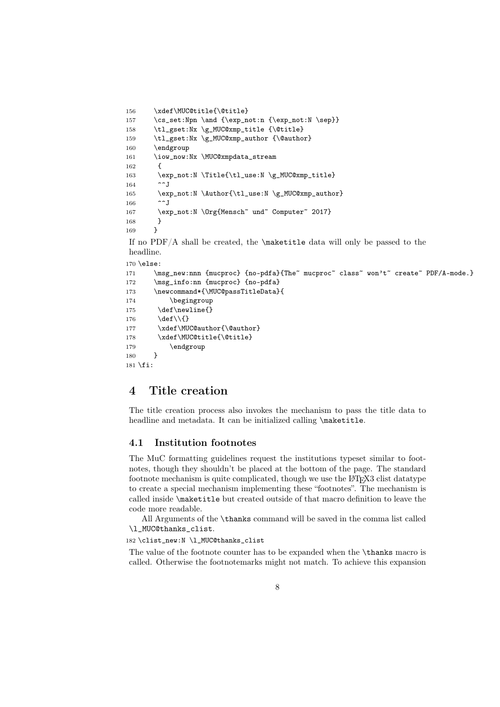```
156 \xdef\MUC@title{\@title}
157 \cs_set:Npn \and {\exp_not:n {\exp_not:N \sep}}
158 \tl_gset:Nx \g_MUC@xmp_title {\@title}
159 \tl_gset:Nx \g_MUC@xmp_author {\@author}
160 \endgroup
161 \iow_now:Nx \MUC@xmpdata_stream
162 \qquad \qquad163 \exp_not:N \Title{\tl_use:N \g_MUC@xmp_title}
164 ^^J
165 \exp_not:N \Author{\tl_use:N \g_MUC@xmp_author}
166 ^ J
167 \exp_not:N \Org{Mensch~ und~ Computer~ 2017}
168 }
169 }
If no PDF/A shall be created, the \mathtt{batch} data will only be passed to the
headline.
170 \else:
171 \msg_new:nnn {mucproc} {no-pdfa}{The~ mucproc~ class~ won't~ create~ PDF/A-mode.}
172 \msg_info:nn {mucproc} {no-pdfa}
173 \newcommand*{\MUC@passTitleData}{
174 \begingroup
175 \def\newline{}
176 \def\\{}
177 \xdef\MUC@author{\@author}
178 \xdef\MUC@title{\@title}
179 \endgroup
180 ]
181 \fi:
```
## 4 Title creation

The title creation process also invokes the mechanism to pass the title data to headline and metadata. It can be initialized calling \maketitle.

#### 4.1 Institution footnotes

The MuC formatting guidelines request the institutions typeset similar to footnotes, though they shouldn't be placed at the bottom of the page. The standard footnote mechanism is quite complicated, though we use the LATEX3 clist datatype to create a special mechanism implementing these "footnotes". The mechanism is called inside \maketitle but created outside of that macro definition to leave the code more readable.

All Arguments of the \thanks command will be saved in the comma list called \1 MUC@thanks clist.

182 \clist\_new:N \l\_MUC@thanks\_clist

The value of the footnote counter has to be expanded when the \thanks macro is called. Otherwise the footnotemarks might not match. To achieve this expansion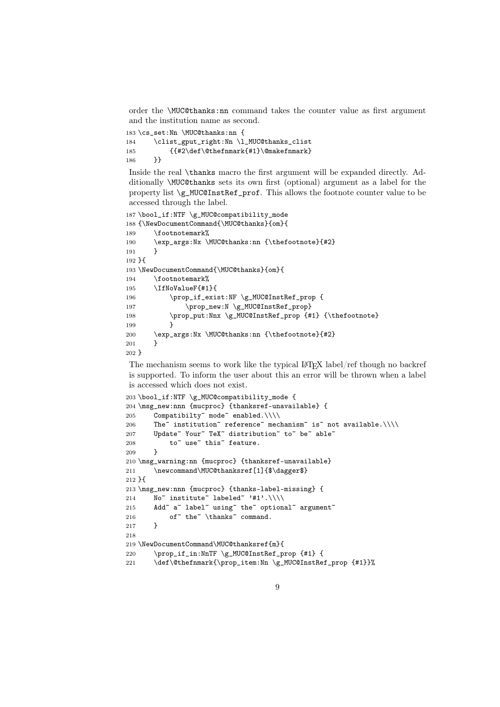order the \MUC@thanks:nn command takes the counter value as first argument and the institution name as second.

```
183 \cs set:Nn \MUC@thanks:nn {
184 \clist_gput_right:Nn \l_MUC@thanks_clist
185 {{#2\def\@thefnmark{#1}\@makefnmark}
186 }}
```
Inside the real \thanks macro the first argument will be expanded directly. Additionally \MUC@thanks sets its own first (optional) argument as a label for the property list \g\_MUC@InstRef\_prof. This allows the footnote counter value to be accessed through the label.

```
187 \bool_if:NTF \g_MUC@compatibility_mode
188 {\NewDocumentCommand{\MUC@thanks}{om}{
189 \footnotemark%<br>190 \exp_args:Nx \l
       \exp_args:Nx \MUC@thanks:nn {\thefootnote}{#2}
191 }
192 }{
193 \NewDocumentCommand{\MUC@thanks}{om}{
194 \footnotemark%
195 \IfNoValueF{#1}{
196 \prop_if_exist:NF \g_MUC@InstRef_prop {
197 \prop_new:N \g_MUC@InstRef_prop}
198 \prop_put:Nnx \g_MUC@InstRef_prop {#1} {\thefootnote}
199 }
200 \exp_args:Nx \MUC@thanks:nn {\thefootnote}{#2}
201 }
202 }
```
The mechanism seems to work like the typical LATEX label/ref though no backref is supported. To inform the user about this an error will be thrown when a label is accessed which does not exist.

```
203 \bool_if:NTF \g_MUC@compatibility_mode {
204 \msg_new:nnn {mucproc} {thanksref-unavailable} {
205 Compatibilty~ mode~ enabled.\\\\
206 The~ institution~ reference~ mechanism~ is~ not available.\|\cdot\|207 Update~ Your~ TeX~ distribution~ to~ be~ able~
208 to \degree use \degree this \degree feature.
209 }
210 \msg_warning:nn {mucproc} {thanksref-unavailable}
211 \newcommand\MUC@thanksref[1]{$\dagger$}
212 }{
213 \msg_new:nnn {mucproc} {thanks-label-missing} {
214 No~ institute~ labeled~ '#1'.\\\\
215 Add~ a~ label~ using~ the~ optional~ argument~
216 of~ the~ \thanks~ command.
217 }
218
219 \NewDocumentCommand\MUC@thanksref{m}{
220 \prop_if_in:NnTF \g_MUC@InstRef_prop {#1} {
221 \def\@thefnmark{\prop_item:Nn \g_MUC@InstRef_prop {#1}}%
```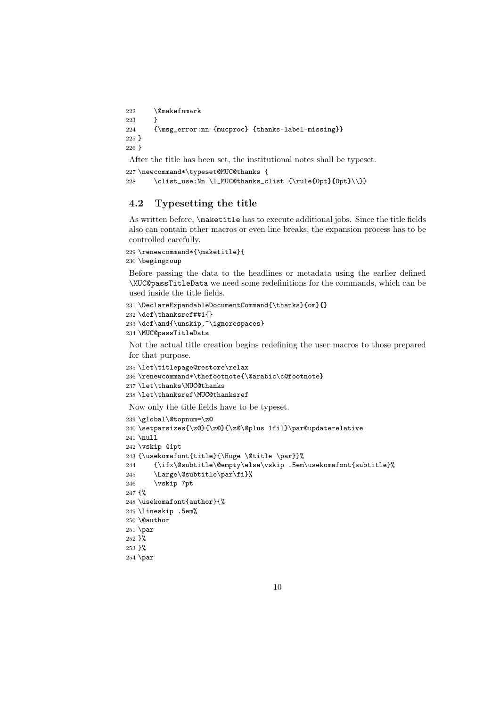```
222 \@makefnmark
223 }
224 {\msg_error:nn {mucproc} {thanks-label-missing}}
225 }
226 }
```
After the title has been set, the institutional notes shall be typeset.

```
227 \newcommand*\typeset@MUC@thanks {
228 \clist_use:Nn \l_MUC@thanks_clist {\rule{0pt}{0pt}\\}}
```
### 4.2 Typesetting the title

As written before, \maketitle has to execute additional jobs. Since the title fields also can contain other macros or even line breaks, the expansion process has to be controlled carefully.

```
229 \renewcommand*{\maketitle}{
230 \begingroup
```
Before passing the data to the headlines or metadata using the earlier defined \MUC@passTitleData we need some redefinitions for the commands, which can be used inside the title fields.

```
231 \DeclareExpandableDocumentCommand{\thanks}{om}{}
232 \def\thanksref##1{}
233\def\and{\unskip,~\ignorespaces}
```

```
234 \MUC@passTitleData
```
Not the actual title creation begins redefining the user macros to those prepared for that purpose.

```
235 \let\titlepage@restore\relax
236 \renewcommand*\thefootnote{\@arabic\c@footnote}
237 \let\thanks\MUC@thanks
238 \let\thanksref\MUC@thanksref
```
Now only the title fields have to be typeset.

```
239 \global\@topnum=\z@
240 \setparsizes{\z@}{\z@}{\z@\@plus 1fil}\par@updaterelative
241 \null
242 \vskip 41pt
243 {\usekomafont{title}{\Huge \@title \par}}%
244 {\ifx\@subtitle\@empty\else\vskip .5em\usekomafont{subtitle}%
245 \Large\@subtitle\par\fi}%
246 \vskip 7pt
247 {%
248 \usekomafont{author}{%
249 \lineskip .5em%
250 \@author
251 \par
252 }%
253 }%
254 \par
```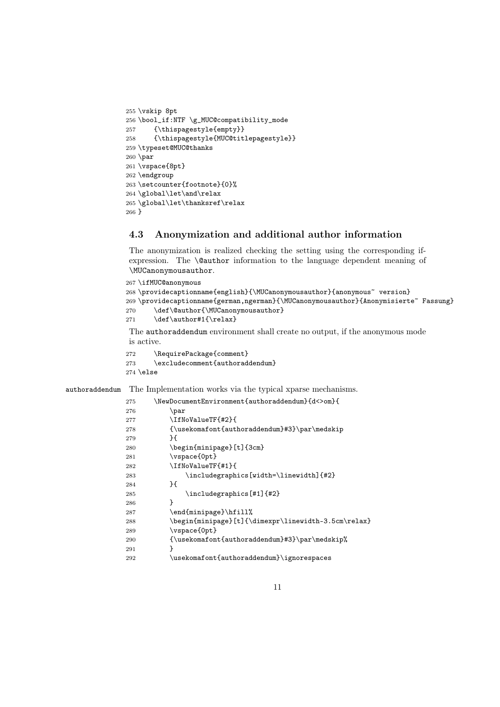```
255 \vskip 8pt
256 \bool_if:NTF \g_MUC@compatibility_mode
257 {\thispagestyle{empty}}
258 {\thispagestyle{MUC@titlepagestyle}}
259 \typeset@MUC@thanks
260 \par
261 \vspace{8pt}
262 \endgroup
263 \setcounter{footnote}{0}%
264 \global\let\and\relax
265 \global\let\thanksref\relax
266 }
```
### 4.3 Anonymization and additional author information

The anonymization is realized checking the setting using the corresponding ifexpression. The \@author information to the language dependent meaning of \MUCanonymousauthor.

```
267 \ifMUC@anonymous
268 \providecaptionname{english}{\MUCanonymousauthor}{anonymous~ version}
269 \providecaptionname{german,ngerman}{\MUCanonymousauthor}{Anonymisierte~ Fassung}
270 \def\@author{\MUCanonymousauthor}
271 \def\author#1{\relax}
```
The authoraddendum environment shall create no output, if the anonymous mode is active.

```
272 \RequirePackage{comment}<br>273 \excludecomment{authorado
       \text{2}274 \else
```
authoraddendum The Implementation works via the typical xparse mechanisms.

| 275 | \NewDocumentEnvironment{authoraddendum}{d<>om}{     |
|-----|-----------------------------------------------------|
| 276 | \par                                                |
| 277 | \IfNoValueTF{#2}{                                   |
| 278 | {\usekomafont{authoraddendum}#3}\par\medskip        |
| 279 | H                                                   |
| 280 | \begin{minipage}[t]{3cm}                            |
| 281 | \vspace{0pt}                                        |
| 282 | \IfNoValueTF{#1}{                                   |
| 283 | \includegraphics[width=\linewidth]{#2}              |
| 284 | }{                                                  |
| 285 | \includegraphics[#1]{#2}                            |
| 286 | ጉ                                                   |
| 287 | \end{minipage}\hfill%                               |
| 288 | \begin{minipage}[t]{\dimexpr\linewidth-3.5cm\relax} |
| 289 | \vspace{0pt}                                        |
| 290 | {\usekomafont{authoraddendum}#3}\par\medskip%       |
| 291 | ŀ                                                   |
| 292 | \usekomafont{authoraddendum}\ignorespaces           |
|     |                                                     |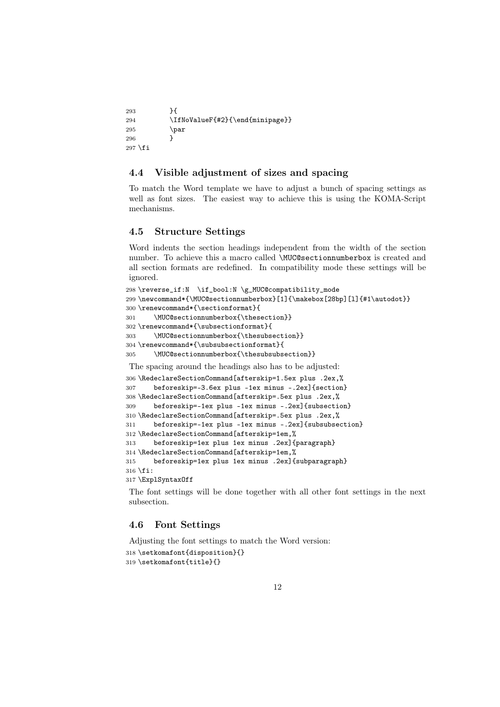```
293 }{
294 \IfNoValueF{#2}{\end{minipage}}
295 \par
296 }
297 \fi
```
### 4.4 Visible adjustment of sizes and spacing

To match the Word template we have to adjust a bunch of spacing settings as well as font sizes. The easiest way to achieve this is using the KOMA-Script mechanisms.

### 4.5 Structure Settings

Word indents the section headings independent from the width of the section number. To achieve this a macro called \MUC@sectionnumberbox is created and all section formats are redefined. In compatibility mode these settings will be ignored.

```
298 \reverse_if:N \if_bool:N \g_MUC@compatibility_mode
299 \newcommand*{\MUC@sectionnumberbox}[1]{\makebox[28bp][l]{#1\autodot}}
300 \renewcommand*{\sectionformat}{
301 \MUC@sectionnumberbox{\thesection}}
302 \renewcommand*{\subsectionformat}{
303 \MUC@sectionnumberbox{\thesubsection}}
304 \renewcommand*{\subsubsectionformat}{
305 \MUC@sectionnumberbox{\thesubsubsection}}
The spacing around the headings also has to be adjusted:
306 \RedeclareSectionCommand[afterskip=1.5ex plus .2ex,%
307 beforeskip=-3.6ex plus -1ex minus -.2ex]{section}
308 \RedeclareSectionCommand[afterskip=.5ex plus .2ex,%
309 beforeskip=-1ex plus -1ex minus -.2ex]{subsection}
310 \RedeclareSectionCommand[afterskip=.5ex plus .2ex,%
311 beforeskip=-1ex plus -1ex minus -.2ex]{subsubsection}
312 \RedeclareSectionCommand[afterskip=1em,%
313 beforeskip=1ex plus 1ex minus .2ex]{paragraph}
314 \RedeclareSectionCommand[afterskip=1em,%
315 beforeskip=1ex plus 1ex minus .2ex]{subparagraph}
316 \fi:
317 \ExplSyntaxOff
```
The font settings will be done together with all other font settings in the next subsection.

### 4.6 Font Settings

Adjusting the font settings to match the Word version:

```
318 \setkomafont{disposition}{}
319 \setkomafont{title}{}
```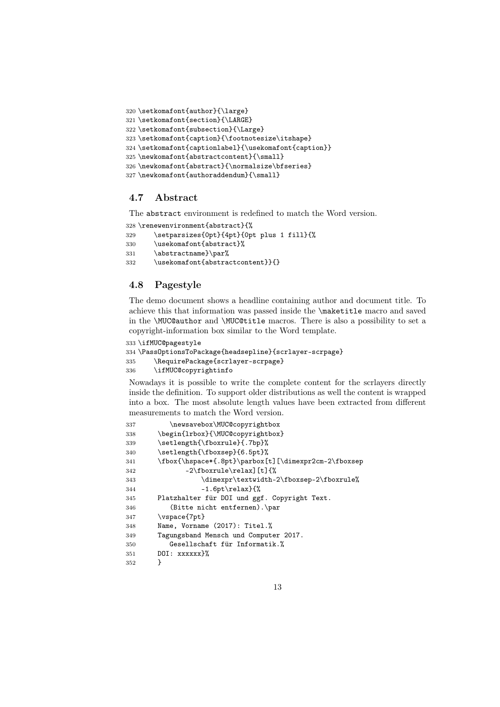```
320 \setkomafont{author}{\large}
321 \setkomafont{section}{\LARGE}
322 \setkomafont{subsection}{\Large}
323 \setkomafont{caption}{\footnotesize\itshape}
324 \setkomafont{captionlabel}{\usekomafont{caption}}
325 \newkomafont{abstractcontent}{\small}
326 \newkomafont{abstract}{\normalsize\bfseries}
327 \newkomafont{authoraddendum}{\small}
```
### 4.7 Abstract

The abstract environment is redefined to match the Word version.

```
328 \renewenvironment{abstract}{%
```

```
329 \setparsizes{0pt}{4pt}{0pt plus 1 fill}{%
```

```
330 \usekomafont{abstract}%
```

```
331 \abstractname}\par%
```

```
332 \usekomafont{abstractcontent}}{}
```
### 4.8 Pagestyle

The demo document shows a headline containing author and document title. To achieve this that information was passed inside the \maketitle macro and saved in the \MUC@author and \MUC@title macros. There is also a possibility to set a copyright-information box similar to the Word template.

```
333 \ifMUC@pagestyle
334 \PassOptionsToPackage{headsepline}{scrlayer-scrpage}
335 \RequirePackage{scrlayer-scrpage}
336 \ifMUC@copyrightinfo
```
Nowadays it is possible to write the complete content for the scrlayers directly inside the definition. To support older distributions as well the content is wrapped into a box. The most absolute length values have been extracted from different measurements to match the Word version.

```
337 \newsavebox\MUC@copyrightbox
338 \begin{lrbox}{\MUC@copyrightbox}
339 \setlength{\fboxrule}{.7bp}%
340 \setlength{\fboxsep}{6.5pt}%
341 \fbox{\hspace*{.8pt}\parbox[t][\dimexpr2cm-2\fboxsep
342 -2\fboxrule\relax][t]{%
343 \dimexpr\textwidth-2\fboxsep-2\fboxrule%
344 -1.6pt\relax}{%
345 Platzhalter für DOI und ggf. Copyright Text.
346 (Bitte nicht entfernen).\par
347 \vspace{7pt}
348 Name, Vorname (2017): Titel.%
349 Tagungsband Mensch und Computer 2017.
350 Gesellschaft für Informatik.%
351 DOI: xxxxxx}%
352 }
```